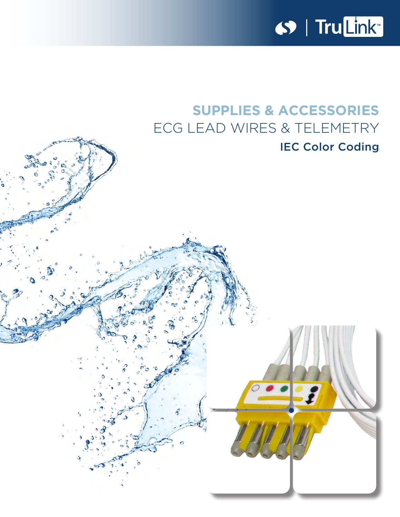

# **SUPPLIES & ACCESSORIES** ECG LEAD WIRES & TELEMETRY **IEC Color Coding**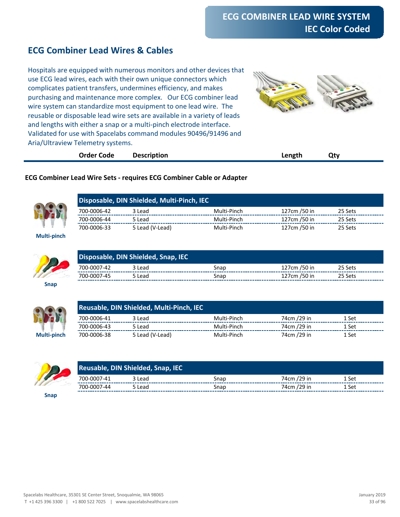### **ECG Combiner Lead Wires & Cables**

Hospitals are equipped with numerous monitors and other devices that use ECG lead wires, each with their own unique connectors which complicates patient transfers, undermines efficiency, and makes purchasing and maintenance more complex. Our ECG combiner lead wire system can standardize most equipment to one lead wire. The reusable or disposable lead wire sets are available in a variety of leads and lengths with either a snap or a multi-pinch electrode interface. Validated for use with Spacelabs command modules 90496/91496 and Aria/Ultraview Telemetry systems.



| <b>Order Code</b> | <b>Description</b> | Length | Qty |  |
|-------------------|--------------------|--------|-----|--|
|                   |                    |        |     |  |

#### **ECG Combiner Lead Wire Sets - requires ECG Combiner Cable or Adapter**



**Multi-pinch**

| Disposable, DIN Shielded, Multi-Pinch, IEC |                 |             |              |         |  |  |
|--------------------------------------------|-----------------|-------------|--------------|---------|--|--|
| 700-0006-42                                | 3 Lead          | Multi-Pinch | 127cm /50 in | 25 Sets |  |  |
| 700-0006-44                                | 5 Lead          | Multi-Pinch | 127cm /50 in | 25 Sets |  |  |
| 700-0006-33                                | 5 Lead (V-Lead) | Multi-Pinch | 127cm /50 in | 25 Sets |  |  |



| Disposable, DIN Shielded, Snap, IEC |        |      |              |         |  |
|-------------------------------------|--------|------|--------------|---------|--|
| 700-0007-42                         | 3 Lead | Snap | 127cm /50 in | 25 Sets |  |
| 700-0007-45                         | 5 Lead | Snan | 127cm /50 in | 25 Sets |  |

**Snap**



|             |             | Reusable, DIN Shielded, Multi-Pinch, IEC |             |             |       |  |  |
|-------------|-------------|------------------------------------------|-------------|-------------|-------|--|--|
|             | 700-0006-41 | 3 Lead                                   | Multi-Pinch | 74cm /29 in | 1 Set |  |  |
|             | 700-0006-43 | 5 Lead                                   | Multi-Pinch | 74cm /29 in | 1 Set |  |  |
| Multi-pinch | 700-0006-38 | 5 Lead (V-Lead)                          | Multi-Pinch | 74cm /29 in | 1 Set |  |  |



| Reusable, DIN Shielded, Snap, IEC |        |      |             |       |  |
|-----------------------------------|--------|------|-------------|-------|--|
| 700-0007-41                       | 3 Lead | Snap | 74cm /29 in | 1 Set |  |
| 700-0007-44                       | 5 Lead | Snap | 74cm /29 in | 1 Set |  |

**Snap**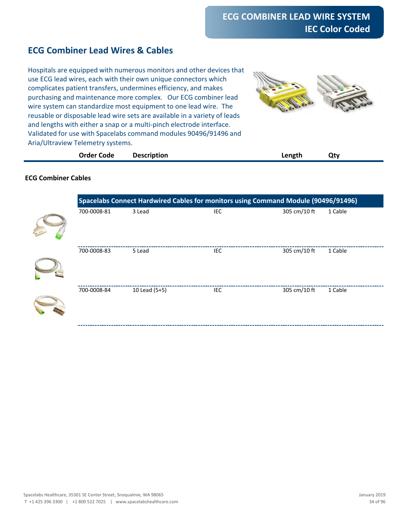# **ECG Combiner Lead Wires & Cables**

Hospitals are equipped with numerous monitors and other devices that use ECG lead wires, each with their own unique connectors which complicates patient transfers, undermines efficiency, and makes purchasing and maintenance more complex. Our ECG combiner lead wire system can standardize most equipment to one lead wire. The reusable or disposable lead wire sets are available in a variety of leads and lengths with either a snap or a multi-pinch electrode interface. Validated for use with Spacelabs command modules 90496/91496 and Aria/Ultraview Telemetry systems.



| <b>Order Code</b> | <b>Description</b> | Length | Qty |
|-------------------|--------------------|--------|-----|
|                   |                    |        |     |

#### **ECG Combiner Cables**

| Spacelabs Connect Hardwired Cables for monitors using Command Module (90496/91496) |               |      |              |         |
|------------------------------------------------------------------------------------|---------------|------|--------------|---------|
| 700-0008-81                                                                        | 3 Lead        | IEC  | 305 cm/10 ft | 1 Cable |
| 700-0008-83                                                                        | 5 Lead        | IEC. | 305 cm/10 ft | 1 Cable |
| 700-0008-84                                                                        | 10 Lead (5+5) | IEC  | 305 cm/10 ft | 1 Cable |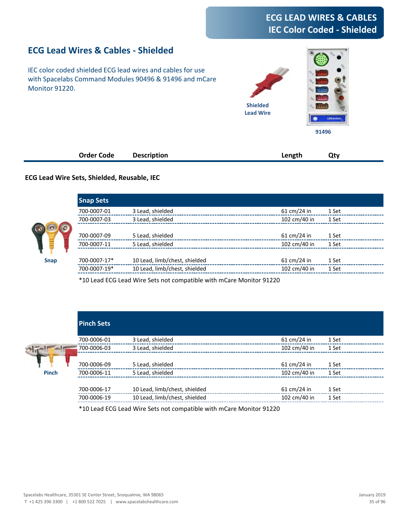# **ECG LEAD WIRES & CABLES IEC Color Coded - Shielded**

# **ECG Lead Wires & Cables - Shielded**

IEC color coded shielded ECG lead wires and cables for use with Spacelabs Command Modules 90496 & 91496 and mCare Monitor 91220.



| <b>Order Code</b> | <b>Description</b> | Length | Qty |
|-------------------|--------------------|--------|-----|
|                   |                    |        |     |

#### **ECG Lead Wire Sets, Shielded, Reusable, IEC**

|             | <b>Snap Sets</b> |                               |                       |       |
|-------------|------------------|-------------------------------|-----------------------|-------|
|             | 700-0007-01      | 3 Lead, shielded              | $61 \text{ cm}/24$ in | 1 Set |
|             | 700-0007-03      | 3 Lead, shielded              | 102 cm/40 in          | 1 Set |
|             |                  |                               |                       |       |
|             | 700-0007-09      | 5 Lead, shielded              | $61 \text{ cm}/24$ in | 1 Set |
|             | 700-0007-11      | 5 Lead, shielded              | 102 cm/40 in          | 1 Set |
|             |                  |                               |                       |       |
| <b>Snap</b> | 700-0007-17*     | 10 Lead, limb/chest, shielded | $61 \text{ cm}/24$ in | 1 Set |
|             | 700-0007-19*     | 10 Lead, limb/chest, shielded | 102 cm/40 in          | 1 Set |
|             |                  |                               |                       |       |

\*10 Lead ECG Lead Wire Sets not compatible with mCare Monitor 91220

|              | <b>Pinch Sets</b> |                               |                       |       |
|--------------|-------------------|-------------------------------|-----------------------|-------|
|              | 700-0006-01       | 3 Lead, shielded              | $61 \text{ cm}/24$ in | 1 Set |
|              | 700-0006-03       | 3 Lead, shielded              | 102 cm/40 in          | 1 Set |
|              | 700-0006-09       | 5 Lead, shielded              | $61 \text{ cm}/24$ in | 1 Set |
| <b>Pinch</b> | 700-0006-11       | 5 Lead, shielded              | 102 cm/40 in          | 1 Set |
|              |                   |                               |                       |       |
|              | 700-0006-17       | 10 Lead, limb/chest, shielded | $61 \text{ cm}/24$ in | 1 Set |
|              | 700-0006-19       | 10 Lead, limb/chest, shielded | 102 cm/40 in          | 1 Set |

\*10 Lead ECG Lead Wire Sets not compatible with mCare Monitor 91220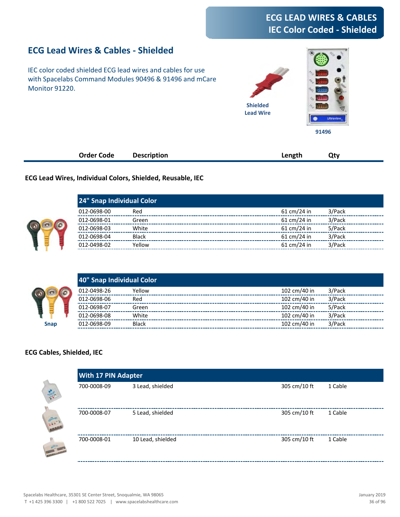# **ECG LEAD WIRES & CABLES IEC Color Coded - Shielded**

### **ECG Lead Wires & Cables - Shielded**

IEC color coded shielded ECG lead wires and cables for use with Spacelabs Command Modules 90496 & 91496 and mCare Monitor 91220.



| <b>Order Code</b> | <b>Description</b> | Length | Qty |
|-------------------|--------------------|--------|-----|
|                   |                    |        |     |

**ECG Lead Wires, Individual Colors, Shielded, Reusable, IEC**

| 24" Snap Individual Color |              |                       |        |  |
|---------------------------|--------------|-----------------------|--------|--|
| 012-0698-00               | Red          | $61 \text{ cm}/24$ in | 3/Pack |  |
| 012-0698-01               | Green        | $61 \text{ cm}/24$ in | 3/Pack |  |
| 012-0698-03               | White        | $61 \text{ cm}/24$ in | 5/Pack |  |
| 012-0698-04               | <b>Black</b> | $61 \text{ cm}/24$ in | 3/Pack |  |
| 012-0498-02               | Yellow       | $61 \text{ cm}/24$ in | 3/Pack |  |



#### **ECG Cables, Shielded, IEC**

|                   | <b>With 17 PIN Adapter</b> |                   |              |         |  |  |
|-------------------|----------------------------|-------------------|--------------|---------|--|--|
| <b>Call Call</b>  | 700-0008-09                | 3 Lead, shielded  | 305 cm/10 ft | 1 Cable |  |  |
| $\frac{1}{2}$     | 700-0008-07                | 5 Lead, shielded  | 305 cm/10 ft | 1 Cable |  |  |
| <b>CONTRACTOR</b> | 700-0008-01                | 10 Lead, shielded | 305 cm/10 ft | 1 Cable |  |  |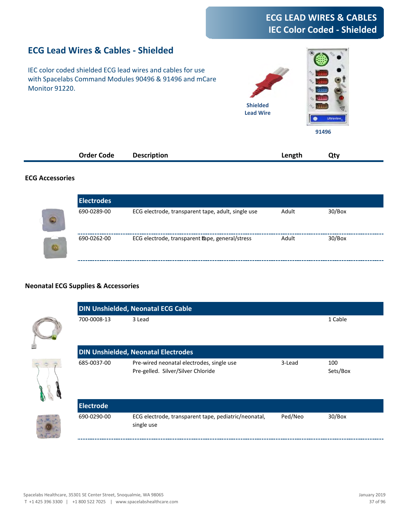# **ECG LEAD WIRES & CABLES IEC Color Coded - Shielded**

## **ECG Lead Wires & Cables - Shielded**

IEC color coded shielded ECG lead wires and cables for use with Spacelabs Command Modules 90496 & 91496 and mCare Monitor 91220.



| Order Code<br>. | <b>Description</b><br>$- - - - -$<br>__ | --- | 7tv. |  |
|-----------------|-----------------------------------------|-----|------|--|
|                 |                                         |     |      |  |

#### **ECG Accessories**

| ECG electrode, transparent tape, adult, single use | Adult                                            | 30/Box |  |
|----------------------------------------------------|--------------------------------------------------|--------|--|
|                                                    |                                                  |        |  |
|                                                    | Adult                                            | 30/Box |  |
|                                                    | ECG electrode, transparent theor, general/stress |        |  |

#### **Neonatal ECG Supplies & Accessories**

| <b>DIN Unshielded, Neonatal ECG Cable</b> |                                                                                 |         |                 |  |
|-------------------------------------------|---------------------------------------------------------------------------------|---------|-----------------|--|
| 700-0008-13                               | 3 Lead                                                                          |         | 1 Cable         |  |
|                                           | <b>DIN Unshielded, Neonatal Electrodes</b>                                      |         |                 |  |
| 685-0037-00                               | Pre-wired neonatal electrodes, single use<br>Pre-gelled. Silver/Silver Chloride | 3-Lead  | 100<br>Sets/Box |  |
| <b>Electrode</b>                          |                                                                                 |         |                 |  |
| 690-0290-00                               | ECG electrode, transparent tape, pediatric/neonatal,<br>single use              | Ped/Neo | 30/Box          |  |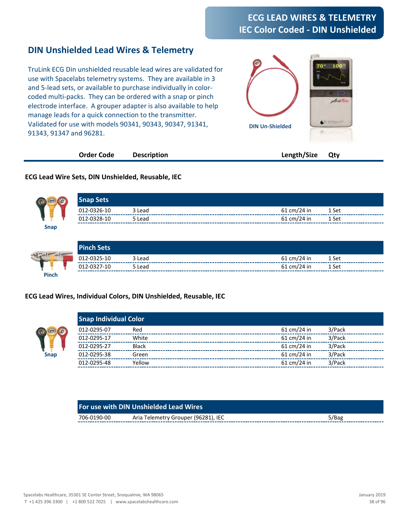# **ECG LEAD WIRES & TELEMETRY IEC Color Coded - DIN Unshielded**

### **DIN Unshielded Lead Wires & Telemetry**

TruLink ECG Din unshielded reusable lead wires are validated for use with Spacelabs telemetry systems. They are available in 3 and 5-lead sets, or available to purchase individually in colorcoded multi-packs. They can be ordered with a snap or pinch electrode interface. A grouper adapter is also available to help manage leads for a quick connection to the transmitter. Validated for use with models 90341, 90343, 90347, 91341, 91343, 91347 and 96281.



| Order Code | <b>Description</b> | Length/Size Qty |  |  |
|------------|--------------------|-----------------|--|--|
|------------|--------------------|-----------------|--|--|

#### **ECG Lead Wire Sets, DIN Unshielded, Reusable, IEC**



**ECG Lead Wires, Individual Colors, DIN Unshielded, Reusable, IEC**



| 012-0295-07 | Red          | $61 \text{ cm}/24$ in        | 3/Pack |
|-------------|--------------|------------------------------|--------|
| 012-0295-17 | White        | $61 \text{ cm}/24$ in        | 3/Pack |
| 012-0295-27 | <b>Black</b> | $61 \text{ cm}/24$ in        | 3/Pack |
| 012-0295-38 | Green        | $61 \text{ cm}/24$ in        | 3/Pack |
| 012-0295-48 | Yellow       | 61 cm/24 in                  | 3/Pack |
|             |              | <b>Snap Individual Color</b> |        |

| <b>For use with DIN Unshielded Lead Wires</b> |                                     |       |  |  |
|-----------------------------------------------|-------------------------------------|-------|--|--|
| 706-0190-00                                   | Aria Telemetry Grouper (96281), IEC | 5/Bag |  |  |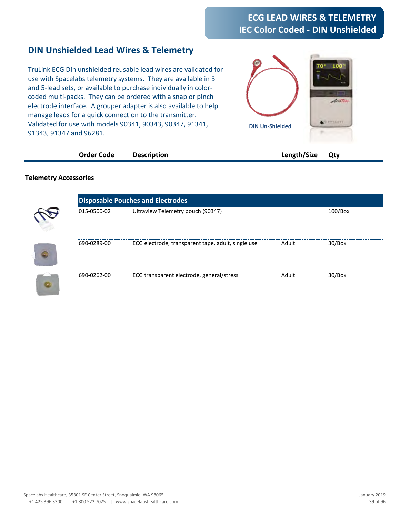# **ECG LEAD WIRES & TELEMETRY IEC Color Coded - DIN Unshielded**

### **DIN Unshielded Lead Wires & Telemetry**

TruLink ECG Din unshielded reusable lead wires are validated for use with Spacelabs telemetry systems. They are available in 3 and 5-lead sets, or available to purchase individually in colorcoded multi-packs. They can be ordered with a snap or pinch electrode interface. A grouper adapter is also available to help manage leads for a quick connection to the transmitter. Validated for use with models 90341, 90343, 90347, 91341, 91343, 91347 and 96281.



| Order Code | <b>Description</b> | Length/Size Qty |
|------------|--------------------|-----------------|
|------------|--------------------|-----------------|

#### **Telemetry Accessories**

|            |             | <b>Disposable Pouches and Electrodes</b>           |       |            |  |  |
|------------|-------------|----------------------------------------------------|-------|------------|--|--|
|            | 015-0500-02 | Ultraview Telemetry pouch (90347)                  |       | $100/B$ ox |  |  |
| $\epsilon$ | 690-0289-00 | ECG electrode, transparent tape, adult, single use | Adult | 30/Box     |  |  |
| $\sqrt{a}$ | 690-0262-00 | ECG transparent electrode, general/stress          | Adult | 30/Box     |  |  |
|            |             |                                                    |       |            |  |  |